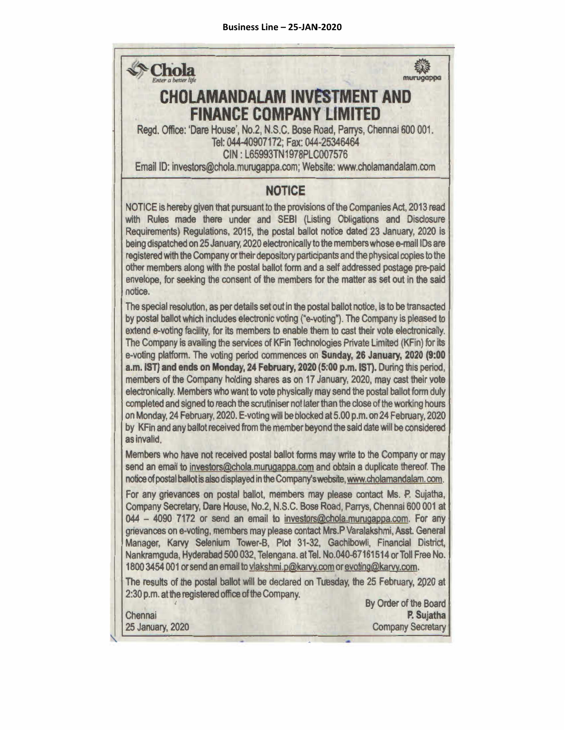